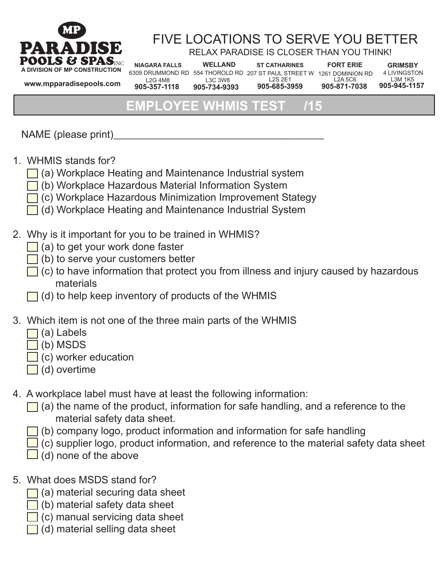

# FIVE LOCATIONS TO SERVE YOU BETTER

RELAX PARADISE IS CLOSER THAN YOU THINK!

**www.mpparadisepools.com**

L2G 4M8 **905-357-1118**

**WELLAND** L3C 3W8 **905-734-9393**  $\frac{\text{INC}}{\text{N}}$  NIAGARA FALLS WELLAND ST CATHARINES FORT ERIE GRIMSBY

L2S 2E1 **905-685-3959**

6309 DRUMMOND RD 554 THOROLD RD 207 ST PAUL STREET W 1261 DOMINION RD L2A 5C6 **905-871-7038**

**FORT ERIE**

4 LIVINGSTON L3M 1K5 **905-945-1157**

### **MPLOYEE WHMIS TE**

NAME (please print)

Ī

- 1. WHMIS stands for?
	- $\Box$  (a) Workplace Heating and Maintenance Industrial system
	- (b) Workplace Hazardous Material Information System
	- (c) Workplace Hazardous Minimization Improvement Stategy
	- (d) Workplace Heating and Maintenance Industrial System
- 2. Why is it important for you to be trained in WHMIS?
	- $\Box$  (a) to get your work done faster
	- $\Box$  (b) to serve your customers better
	- $\Box$  (c) to have information that protect you from illness and injury caused by hazardous materials
	- $\Box$  (d) to help keep inventory of products of the WHMIS
- 3. Which item is not one of the three main parts of the WHMIS
	- $\Box$  (a) Labels
	- $\Box$  (b) MSDS
	- $\Box$  (c) worker education
	- $\Box$  (d) overtime
- 4. A workplace label must have at least the following information:
	- $\Box$  (a) the name of the product, information for safe handling, and a reference to the material safety data sheet.
		- (b) company logo, product information and information for safe handling
		- $\Box$  (c) supplier logo, product information, and reference to the material safety data sheet
		- (d) none of the above
- 5. What does MSDS stand for?
	- $\Box$  (a) material securing data sheet
	- $\Box$  (b) material safety data sheet
	- $\Box$  (c) manual servicing data sheet
	- (d) material selling data sheet